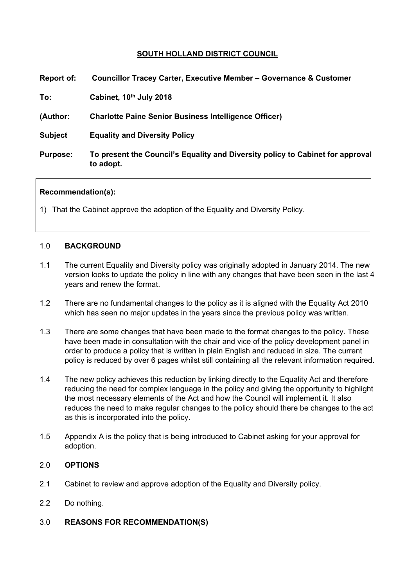# **SOUTH HOLLAND DISTRICT COUNCIL**

| Report of:      | <b>Councillor Tracey Carter, Executive Member - Governance &amp; Customer</b>               |
|-----------------|---------------------------------------------------------------------------------------------|
| To:             | Cabinet, 10th July 2018                                                                     |
| (Author:        | <b>Charlotte Paine Senior Business Intelligence Officer)</b>                                |
| <b>Subject</b>  | <b>Equality and Diversity Policy</b>                                                        |
| <b>Purpose:</b> | To present the Council's Equality and Diversity policy to Cabinet for approval<br>to adopt. |
|                 |                                                                                             |

### **Recommendation(s):**

1) That the Cabinet approve the adoption of the Equality and Diversity Policy.

### 1.0 **BACKGROUND**

- 1.1 The current Equality and Diversity policy was originally adopted in January 2014. The new version looks to update the policy in line with any changes that have been seen in the last 4 years and renew the format.
- 1.2 There are no fundamental changes to the policy as it is aligned with the Equality Act 2010 which has seen no major updates in the years since the previous policy was written.
- 1.3 There are some changes that have been made to the format changes to the policy. These have been made in consultation with the chair and vice of the policy development panel in order to produce a policy that is written in plain English and reduced in size. The current policy is reduced by over 6 pages whilst still containing all the relevant information required.
- 1.4 The new policy achieves this reduction by linking directly to the Equality Act and therefore reducing the need for complex language in the policy and giving the opportunity to highlight the most necessary elements of the Act and how the Council will implement it. It also reduces the need to make regular changes to the policy should there be changes to the act as this is incorporated into the policy.
- 1.5 Appendix A is the policy that is being introduced to Cabinet asking for your approval for adoption.

### 2.0 **OPTIONS**

- 2.1 Cabinet to review and approve adoption of the Equality and Diversity policy.
- 2.2 Do nothing.
- 3.0 **REASONS FOR RECOMMENDATION(S)**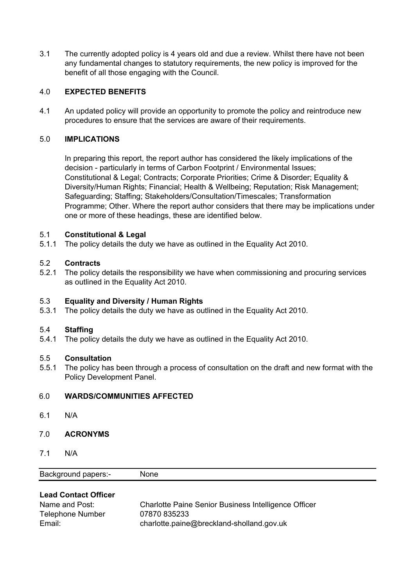3.1 The currently adopted policy is 4 years old and due a review. Whilst there have not been any fundamental changes to statutory requirements, the new policy is improved for the benefit of all those engaging with the Council.

## 4.0 **EXPECTED BENEFITS**

4.1 An updated policy will provide an opportunity to promote the policy and reintroduce new procedures to ensure that the services are aware of their requirements.

### 5.0 **IMPLICATIONS**

In preparing this report, the report author has considered the likely implications of the decision - particularly in terms of Carbon Footprint / Environmental Issues; Constitutional & Legal; Contracts; Corporate Priorities; Crime & Disorder; Equality & Diversity/Human Rights; Financial; Health & Wellbeing; Reputation; Risk Management; Safeguarding; Staffing; Stakeholders/Consultation/Timescales; Transformation Programme; Other. Where the report author considers that there may be implications under one or more of these headings, these are identified below.

## 5.1 **Constitutional & Legal**

5.1.1 The policy details the duty we have as outlined in the Equality Act 2010.

## 5.2 **Contracts**

5.2.1 The policy details the responsibility we have when commissioning and procuring services as outlined in the Equality Act 2010.

### 5.3 **Equality and Diversity / Human Rights**

5.3.1 The policy details the duty we have as outlined in the Equality Act 2010.

### 5.4 **Staffing**

5.4.1 The policy details the duty we have as outlined in the Equality Act 2010.

### 5.5 **Consultation**

5.5.1 The policy has been through a process of consultation on the draft and new format with the Policy Development Panel.

# 6.0 **WARDS/COMMUNITIES AFFECTED**

6.1 N/A

### 7.0 **ACRONYMS**

7.1 N/A

| Background papers:- | None |  |
|---------------------|------|--|
|---------------------|------|--|

# **Lead Contact Officer**

| Name and Post:          | Charlotte Paine Senior Business Intelligence Officer |
|-------------------------|------------------------------------------------------|
| <b>Telephone Number</b> | 07870 835233                                         |
| Email:                  | charlotte.paine@breckland-sholland.gov.uk            |